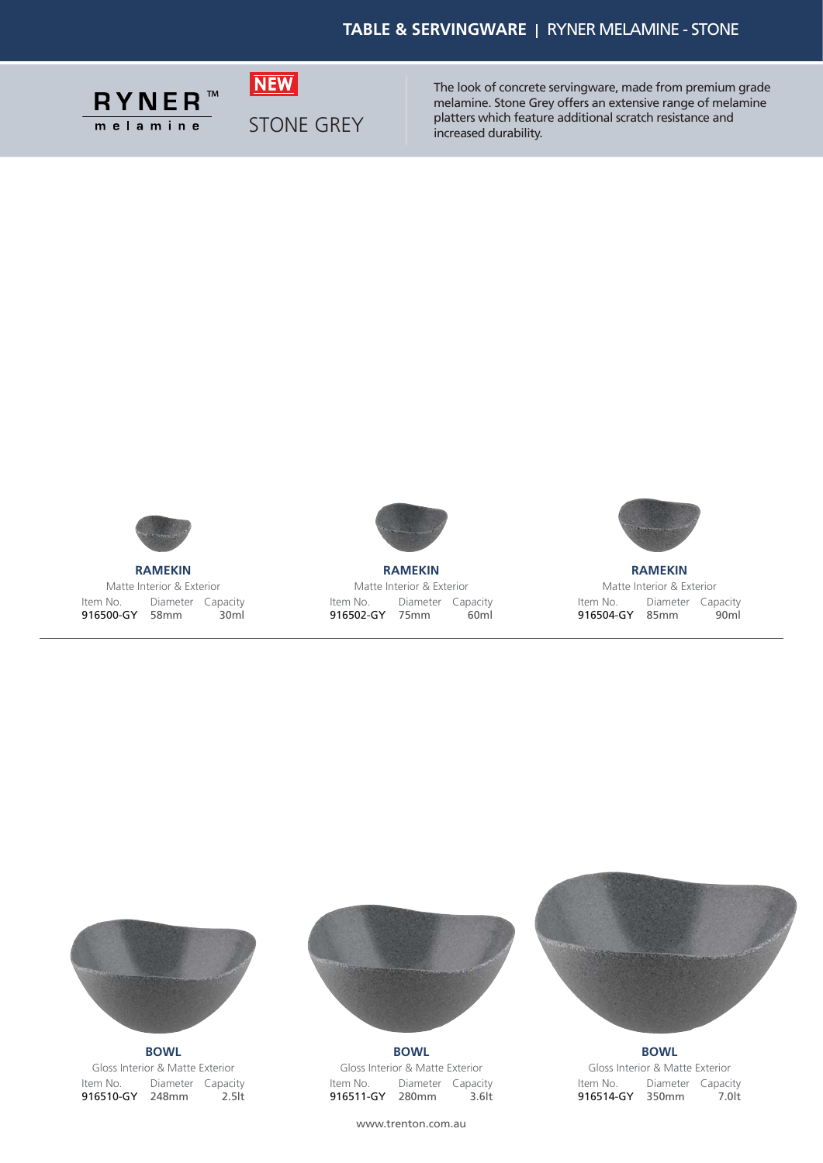

STONE GREY

**NEW** 

The look of concrete servingware, made from premium grade melamine. Stone Grey offers an extensive range of melamine platters which feature additional scratch resistance and increased durability.



**RAMEKIN** Matte Interior & Exterior Item No. 916500-GY 58mm Diameter Capacity 30ml



**RAMEKIN** Matte Interior & Exterior Item No. 916502-GY 75mm Diameter Capacity 60ml



**RAMEKIN** Matte Interior & Exterior Item No. 916504-GY 85mm Diameter Capacity 90ml



**BOWL** Gloss Interior & Matte Exterior Item No. Diameter Capacity 916510-GY 248mm 2.5lt



**BOWL** Gloss Interior & Matte Exterior Item No. 916511-GY 280mm Diameter Capacity 3.6lt

**BOWL** Gloss Interior & Matte Exterior Item No. Diameter Capacity 916514-GY 350mm 7.0lt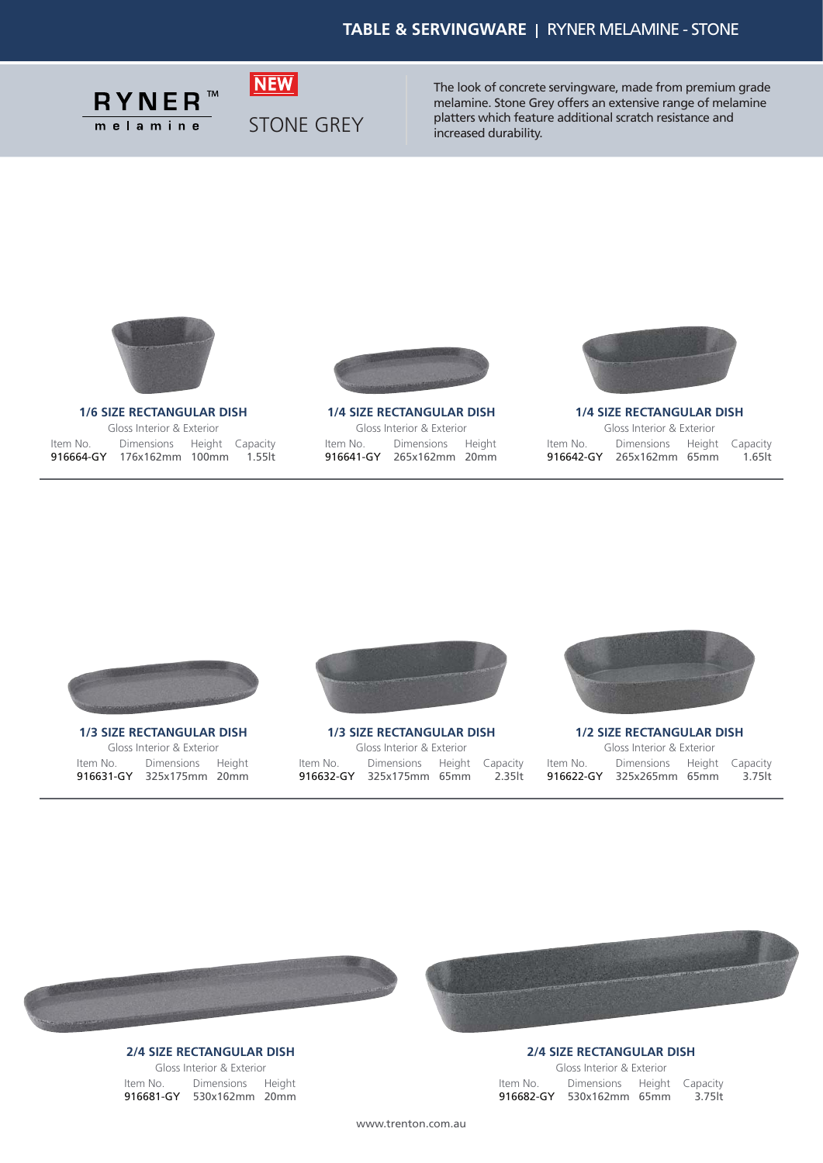

STONE GREY

**NEW** 

The look of concrete servingware, made from premium grade melamine. Stone Grey offers an extensive range of melamine platters which feature additional scratch resistance and increased durability.



**1/6 SIZE RECTANGULAR DISH** Gloss Interior & Exterior Item No. 916664-GY 176x162mm 1.55lt 100mm Dimensions Height Capacity



**1/4 SIZE RECTANGULAR DISH** Gloss Interior & Exterior Item No. 916641-GY 265x162mm 20mm Dimensions Height



**1/4 SIZE RECTANGULAR DISH**

|          | Gloss Interior & Exterior  |         |
|----------|----------------------------|---------|
| Item No. | Dimensions Height Capacity |         |
|          | 916642-GY 265x162mm 65mm   | 1.65 lt |



**1/3 SIZE RECTANGULAR DISH** Gloss Interior & Exterior Item No. Dimensions Height 916631-GY 325x175mm 20mm



**1/3 SIZE RECTANGULAR DISH** Gloss Interior & Exterior Item No. 916632-GY 325x175mm 2.35lt 65mm Dimensions Height Capacity



**1/2 SIZE RECTANGULAR DISH** Gloss Interior & Exterior Item No. 916622-GY 325x265mm 65mm Dimensions Height Capacity 3.75lt



## **2/4 SIZE RECTANGULAR DISH**

Gloss Interior & Exterior Item No. Dimensions Height 916681-GY 530x162mm 20mm



#### **2/4 SIZE RECTANGULAR DISH**

Gloss Interior & Exterior Item No. 916682-GY 530x162mm 3.75lt 65mm Dimensions Height Capacity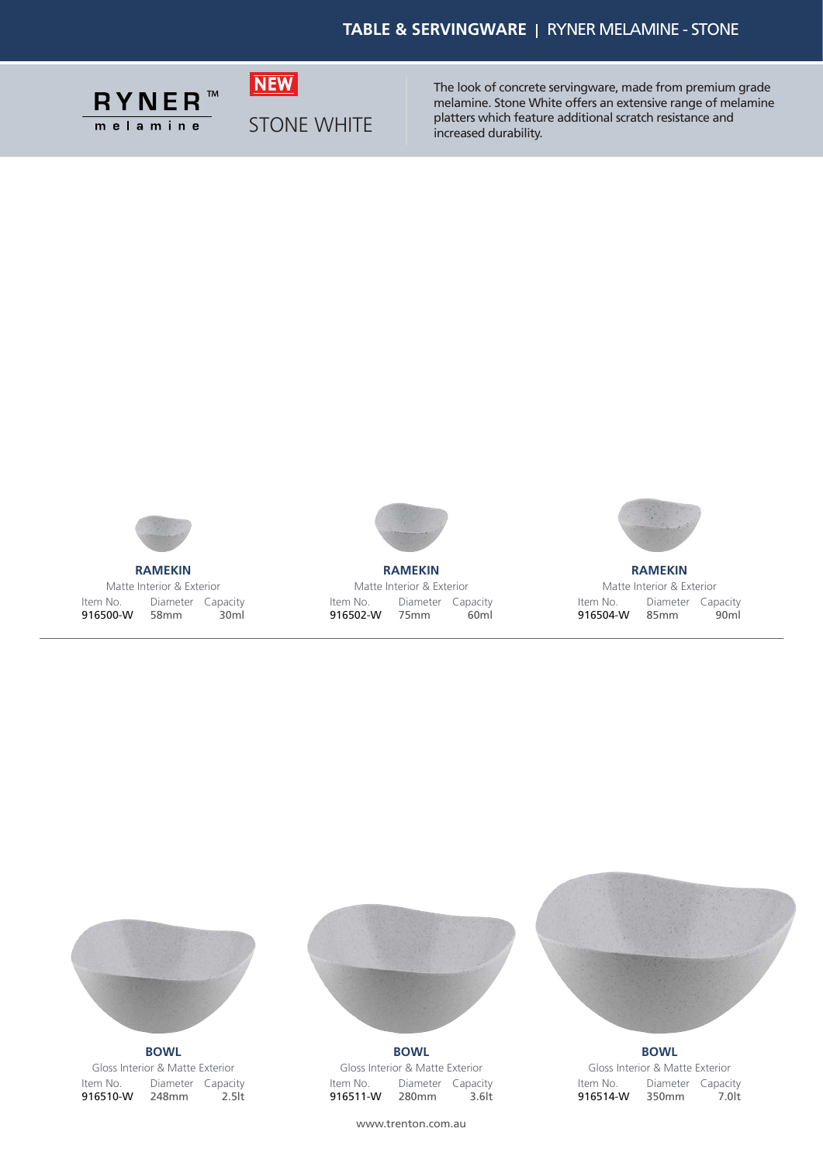

STONE WHITE

**NEW** 

The look of concrete servingware, made from premium grade melamine. Stone White offers an extensive range of melamine platters which feature additional scratch resistance and increased durability.



**RAMEKIN** Matte Interior & Exterior Item No. 916500-W 58mm Diameter Capacity 30ml



**RAMEKIN** Matte Interior & Exterior Item No. 916502-W 75mm Diameter Capacity 60ml



**RAMEKIN** Matte Interior & Exterior Item No. 916504-W 85mm Diameter Capacity 90ml



Gloss Interior & Matte Exterior Item No. Diameter Capacity 916510-W 248mm 2.5lt



Gloss Interior & Matte Exterior Item No. 916511-W 280mm Diameter Capacity 3.6lt **BOWL BOWL BOWL**



Gloss Interior & Matte Exterior Item No. 916514-W 350mm Diameter Capacity 7.0lt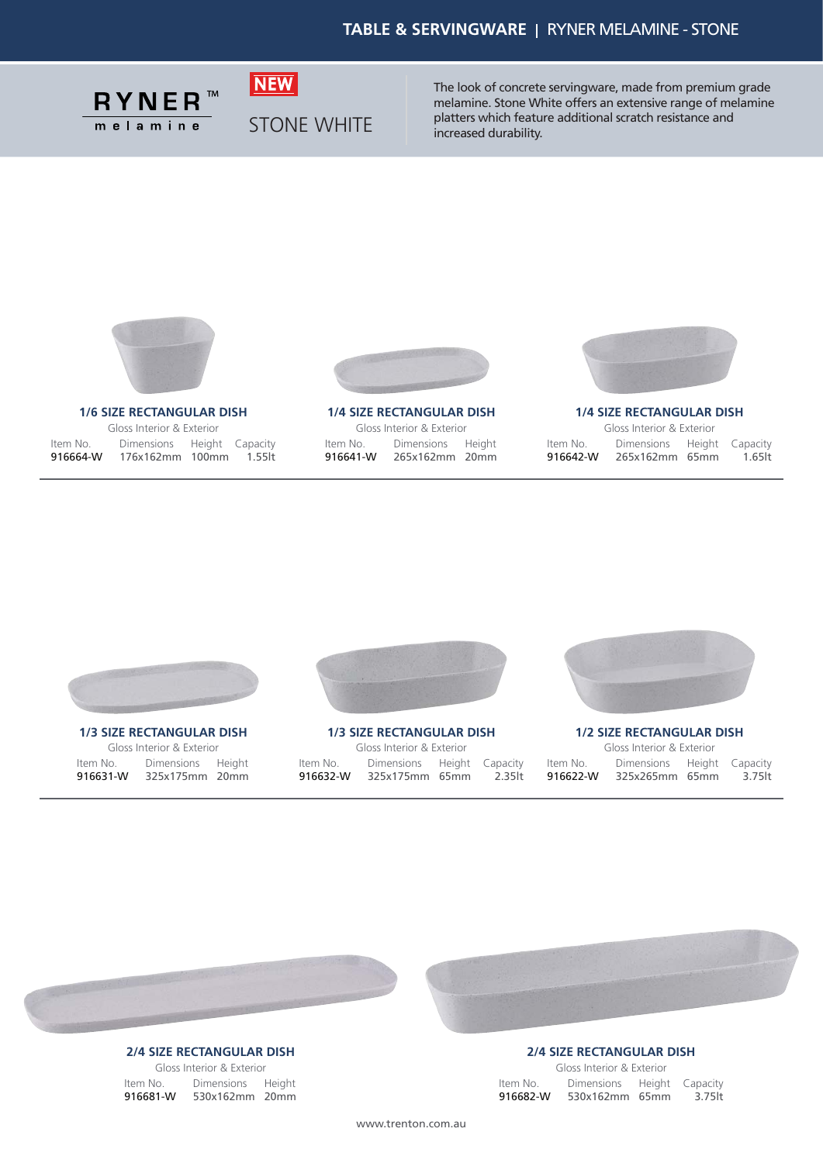

STONE WHITE

**NEW** 

The look of concrete servingware, made from premium grade melamine. Stone White offers an extensive range of melamine platters which feature additional scratch resistance and increased durability.



#### **1/6 SIZE RECTANGULAR DISH**

Gloss Interior & Exterior Item No. 916664-W 176x162mm 1.55lt 100mm Dimensions Height Capacity



**1/4 SIZE RECTANGULAR DISH** Gloss Interior & Exterior Item No. 916641-W 265x162mm 20mm Dimensions Height



**1/4 SIZE RECTANGULAR DISH**

| 916642-W | 265x162mm 65mm             | 1.65 <sub>lt</sub> |
|----------|----------------------------|--------------------|
| Item No. | Dimensions Height Capacity |                    |
|          | Gloss Interior & Exterior  |                    |



**1/3 SIZE RECTANGULAR DISH** Gloss Interior & Exterior Item No. Dimensions Height 916631-W 325x175mm 20mm



**1/3 SIZE RECTANGULAR DISH** Gloss Interior & Exterior Item No. 916632-W 325x175mm 2.35lt 65mm Dimensions Height Capacity



**1/2 SIZE RECTANGULAR DISH** Gloss Interior & Exterior Item No. 916622-W 325x265mm 65mm Dimensions Height Capacity 3.75lt



## **2/4 SIZE RECTANGULAR DISH**

Gloss Interior & Exterior Item No. Dimensions Height 916681-W 530x162mm 20mm **2/4 SIZE RECTANGULAR DISH**

| Gloss Interior & Exterior |                            |  |        |  |  |
|---------------------------|----------------------------|--|--------|--|--|
| Item No.                  | Dimensions Height Capacity |  |        |  |  |
| 916682-W                  | 530x162mm 65mm             |  | 3.75lt |  |  |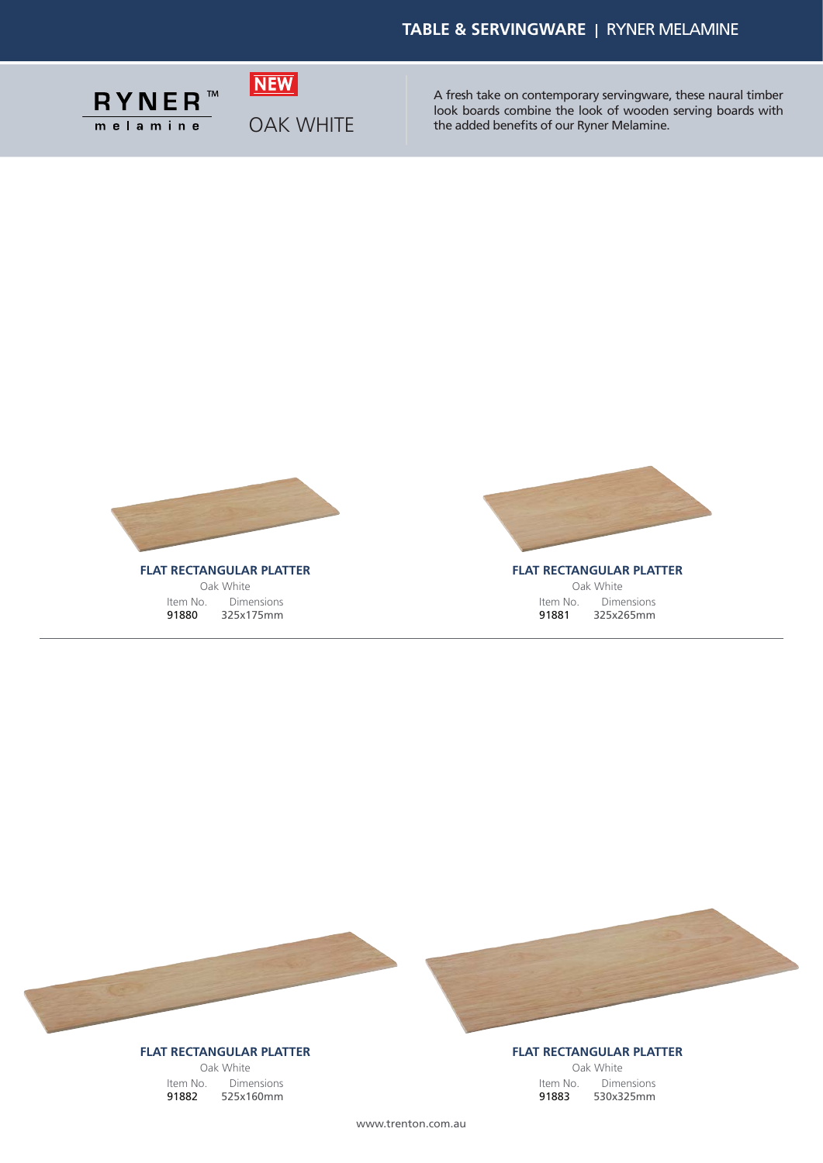

OAK WHITE

**NEW** 

A fresh take on contemporary servingware, these naural timber look boards combine the look of wooden serving boards with the added benefits of our Ryner Melamine.



Oak White Item No. Dimensions 91880 325x175mm



**FLAT RECTANGULAR PLATTER** Oak White Item No. Dimensions 91881 325x265mm